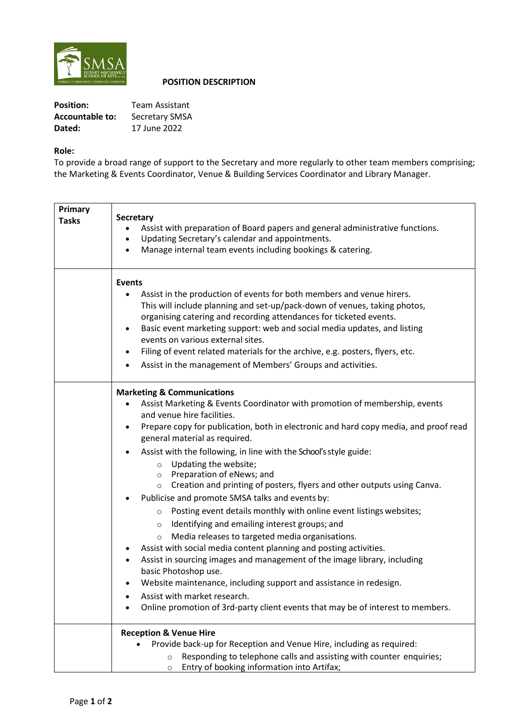

# **POSITION DESCRIPTION**

| <b>Position:</b> | <b>Team Assistant</b> |
|------------------|-----------------------|
| Accountable to:  | Secretary SMSA        |
| Dated:           | 17 June 2022          |

# **Role:**

To provide a broad range of support to the Secretary and more regularly to other team members comprising; the Marketing & Events Coordinator, Venue & Building Services Coordinator and Library Manager.

| Primary<br><b>Tasks</b> | <b>Secretary</b><br>Assist with preparation of Board papers and general administrative functions.<br>Updating Secretary's calendar and appointments.<br>Manage internal team events including bookings & catering.                                                                                                                                                                                                                                                                                                                                                                                                                                                                                                                                                                                                                                                                                                                                                                                                                                                                                                                                             |
|-------------------------|----------------------------------------------------------------------------------------------------------------------------------------------------------------------------------------------------------------------------------------------------------------------------------------------------------------------------------------------------------------------------------------------------------------------------------------------------------------------------------------------------------------------------------------------------------------------------------------------------------------------------------------------------------------------------------------------------------------------------------------------------------------------------------------------------------------------------------------------------------------------------------------------------------------------------------------------------------------------------------------------------------------------------------------------------------------------------------------------------------------------------------------------------------------|
|                         | <b>Events</b><br>Assist in the production of events for both members and venue hirers.<br>This will include planning and set-up/pack-down of venues, taking photos,<br>organising catering and recording attendances for ticketed events.<br>Basic event marketing support: web and social media updates, and listing<br>٠<br>events on various external sites.<br>Filing of event related materials for the archive, e.g. posters, flyers, etc.<br>٠<br>Assist in the management of Members' Groups and activities.<br>$\bullet$                                                                                                                                                                                                                                                                                                                                                                                                                                                                                                                                                                                                                              |
|                         | <b>Marketing &amp; Communications</b><br>Assist Marketing & Events Coordinator with promotion of membership, events<br>and venue hire facilities.<br>Prepare copy for publication, both in electronic and hard copy media, and proof read<br>$\bullet$<br>general material as required.<br>Assist with the following, in line with the School's style guide:<br>Updating the website;<br>$\circ$<br>Preparation of eNews; and<br>$\circ$<br>Creation and printing of posters, flyers and other outputs using Canva.<br>$\circ$<br>Publicise and promote SMSA talks and events by:<br>Posting event details monthly with online event listings websites;<br>$\circ$<br>Identifying and emailing interest groups; and<br>$\circ$<br>Media releases to targeted media organisations.<br>$\circ$<br>Assist with social media content planning and posting activities.<br>Assist in sourcing images and management of the image library, including<br>basic Photoshop use.<br>Website maintenance, including support and assistance in redesign.<br>Assist with market research.<br>Online promotion of 3rd-party client events that may be of interest to members. |
|                         | <b>Reception &amp; Venue Hire</b><br>Provide back-up for Reception and Venue Hire, including as required:<br>Responding to telephone calls and assisting with counter enquiries;<br>$\circ$<br>Entry of booking information into Artifax;<br>$\circ$                                                                                                                                                                                                                                                                                                                                                                                                                                                                                                                                                                                                                                                                                                                                                                                                                                                                                                           |